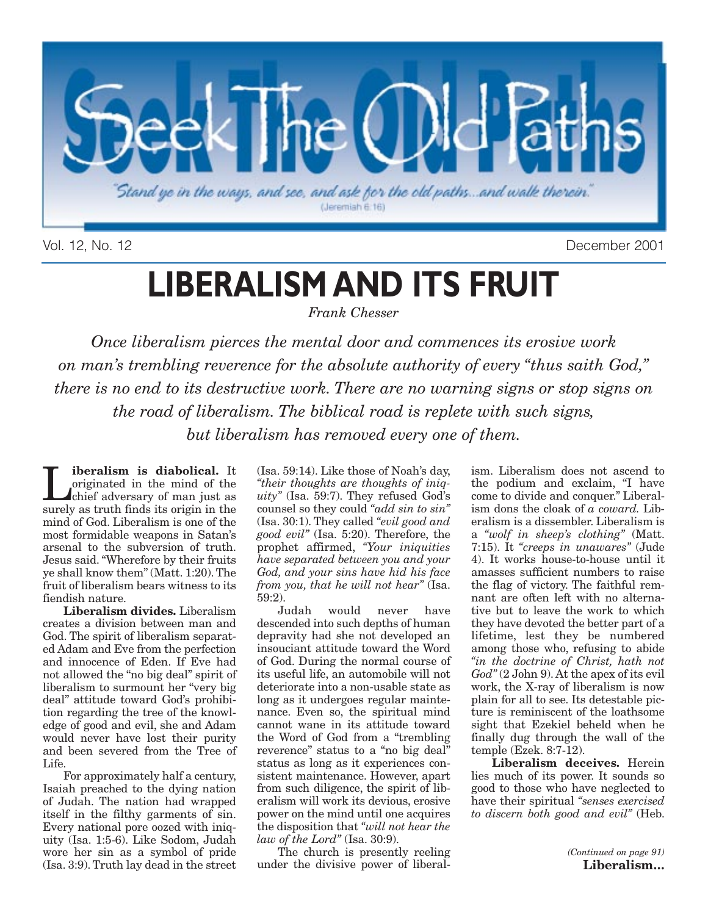

Vol. 12, No. 12 December 2001

## **LIBERALISM AND ITS FRUIT**

*Frank Chesser*

*Once liberalism pierces the mental door and commences its erosive work on man's trembling reverence for the absolute authority of every "thus saith God," there is no end to its destructive work. There are no warning signs or stop signs on the road of liberalism. The biblical road is replete with such signs, but liberalism has removed every one of them.*

**Li** beralism is diabolical. It<br>originated in the mind of the<br>chief adversary of man just as originated in the mind of the surely as truth finds its origin in the mind of God. Liberalism is one of the most formidable weapons in Satan's arsenal to the subversion of truth. Jesus said. "Wherefore by their fruits ye shall know them" (Matt. 1:20). The fruit of liberalism bears witness to its fiendish nature.

**Liberalism divides.** Liberalism creates a division between man and God. The spirit of liberalism separated Adam and Eve from the perfection and innocence of Eden. If Eve had not allowed the "no big deal" spirit of liberalism to surmount her "very big deal" attitude toward God's prohibition regarding the tree of the knowledge of good and evil, she and Adam would never have lost their purity and been severed from the Tree of Life.

For approximately half a century, Isaiah preached to the dying nation of Judah. The nation had wrapped itself in the filthy garments of sin. Every national pore oozed with iniquity (Isa. 1:5-6). Like Sodom, Judah wore her sin as a symbol of pride (Isa. 3:9). Truth lay dead in the street

(Isa. 59:14). Like those of Noah's day, *"their thoughts are thoughts of iniquity"* (Isa. 59:7). They refused God's counsel so they could *"add sin to sin"* (Isa. 30:1). They called *"evil good and good evil"* (Isa. 5:20). Therefore, the prophet affirmed, *"Your iniquities have separated between you and your God, and your sins have hid his face from you, that he will not hear"* (Isa.

59:2). would never have descended into such depths of human depravity had she not developed an insouciant attitude toward the Word of God. During the normal course of its useful life, an automobile will not deteriorate into a non-usable state as long as it undergoes regular maintenance. Even so, the spiritual mind cannot wane in its attitude toward the Word of God from a "trembling reverence" status to a "no big deal" status as long as it experiences consistent maintenance. However, apart from such diligence, the spirit of liberalism will work its devious, erosive power on the mind until one acquires the disposition that *"will not hear the law of the Lord"* (Isa. 30:9).

The church is presently reeling under the divisive power of liberalism. Liberalism does not ascend to the podium and exclaim, "I have come to divide and conquer." Liberalism dons the cloak of *a coward.* Liberalism is a dissembler. Liberalism is a *"wolf in sheep's clothing"* (Matt. 7:15). It *"creeps in unawares"* (Jude 4). It works house-to-house until it amasses sufficient numbers to raise the flag of victory. The faithful remnant are often left with no alternative but to leave the work to which they have devoted the better part of a lifetime, lest they be numbered among those who, refusing to abide *"in the doctrine of Christ, hath not God"*(2 John 9). At the apex of its evil work, the X-ray of liberalism is now plain for all to see. Its detestable picture is reminiscent of the loathsome sight that Ezekiel beheld when he finally dug through the wall of the temple (Ezek. 8:7-12).

**Liberalism deceives.** Herein lies much of its power. It sounds so good to those who have neglected to have their spiritual *"senses exercised to discern both good and evil"* (Heb.

> *(Continued on page 91)* **Liberalism…**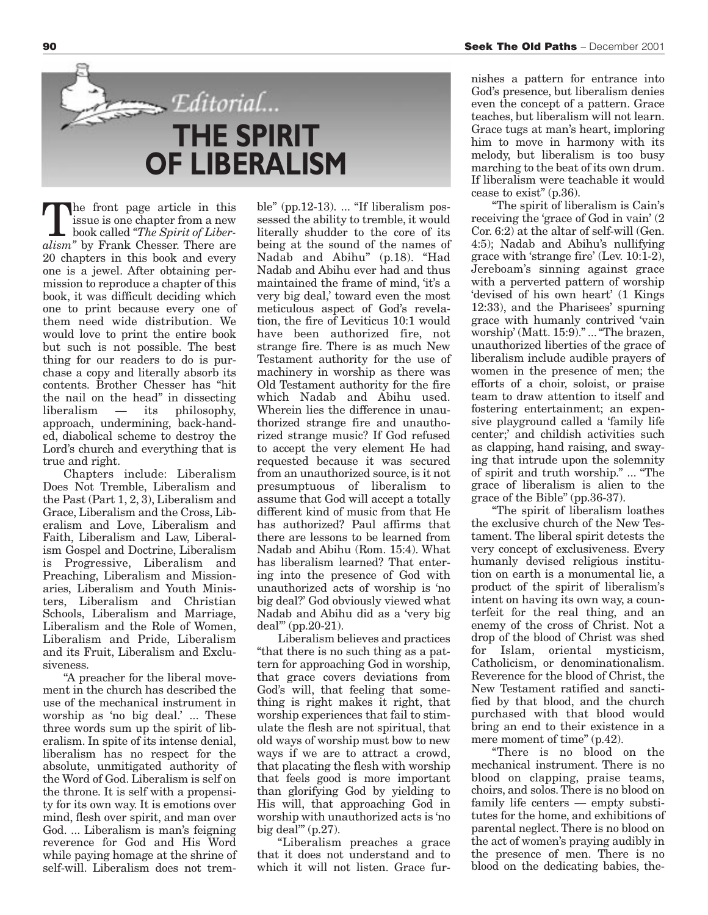

the front page article in this issue is one chapter from a new book called *"The Spirit of Liberalism"* by Frank Chesser. There are 20 chapters in this book and every one is a jewel. After obtaining permission to reproduce a chapter of this book, it was difficult deciding which one to print because every one of them need wide distribution. We would love to print the entire book but such is not possible. The best thing for our readers to do is purchase a copy and literally absorb its contents. Brother Chesser has "hit the nail on the head" in dissecting<br>liberalism — its nhilosonhy liberalism — its philosophy, approach, undermining, back-handed, diabolical scheme to destroy the Lord's church and everything that is true and right.

Chapters include: Liberalism Does Not Tremble, Liberalism and the Past (Part 1, 2, 3), Liberalism and Grace, Liberalism and the Cross, Liberalism and Love, Liberalism and Faith, Liberalism and Law, Liberalism Gospel and Doctrine, Liberalism is Progressive, Liberalism and Preaching, Liberalism and Missionaries, Liberalism and Youth Ministers, Liberalism and Christian Schools, Liberalism and Marriage, Liberalism and the Role of Women, Liberalism and Pride, Liberalism and its Fruit, Liberalism and Exclusiveness.

"A preacher for the liberal movement in the church has described the use of the mechanical instrument in worship as 'no big deal.' ... These three words sum up the spirit of liberalism. In spite of its intense denial, liberalism has no respect for the absolute, unmitigated authority of the Word of God. Liberalism is self on the throne. It is self with a propensity for its own way. It is emotions over mind, flesh over spirit, and man over God. ... Liberalism is man's feigning reverence for God and His Word while paying homage at the shrine of self-will. Liberalism does not tremble" (pp.12-13). ... "If liberalism possessed the ability to tremble, it would literally shudder to the core of its being at the sound of the names of Nadab and Abihu" (p.18). "Had Nadab and Abihu ever had and thus maintained the frame of mind, 'it's a very big deal,' toward even the most meticulous aspect of God's revelation, the fire of Leviticus 10:1 would have been authorized fire, not strange fire. There is as much New Testament authority for the use of machinery in worship as there was Old Testament authority for the fire which Nadab and Abihu used. Wherein lies the difference in unauthorized strange fire and unauthorized strange music? If God refused to accept the very element He had requested because it was secured from an unauthorized source, is it not presumptuous of liberalism to assume that God will accept a totally different kind of music from that He has authorized? Paul affirms that there are lessons to be learned from Nadab and Abihu (Rom. 15:4). What has liberalism learned? That entering into the presence of God with unauthorized acts of worship is 'no big deal?' God obviously viewed what Nadab and Abihu did as a 'very big deal'" (pp.20-21).

Liberalism believes and practices "that there is no such thing as a pattern for approaching God in worship, that grace covers deviations from God's will, that feeling that something is right makes it right, that worship experiences that fail to stimulate the flesh are not spiritual, that old ways of worship must bow to new ways if we are to attract a crowd, that placating the flesh with worship that feels good is more important than glorifying God by yielding to His will, that approaching God in worship with unauthorized acts is 'no big deal"  $(p.27)$ .

"Liberalism preaches a grace that it does not understand and to which it will not listen. Grace fur-

nishes a pattern for entrance into God's presence, but liberalism denies even the concept of a pattern. Grace teaches, but liberalism will not learn. Grace tugs at man's heart, imploring him to move in harmony with its melody, but liberalism is too busy marching to the beat of its own drum. If liberalism were teachable it would cease to exist" (p.36).

"The spirit of liberalism is Cain's receiving the 'grace of God in vain' (2 Cor. 6:2) at the altar of self-will (Gen. 4:5); Nadab and Abihu's nullifying grace with 'strange fire' (Lev. 10:1-2), Jereboam's sinning against grace with a perverted pattern of worship 'devised of his own heart' (1 Kings 12:33), and the Pharisees' spurning grace with humanly contrived 'vain worship' (Matt. 15:9)." ... "The brazen, unauthorized liberties of the grace of liberalism include audible prayers of women in the presence of men; the efforts of a choir, soloist, or praise team to draw attention to itself and fostering entertainment; an expensive playground called a 'family life center;' and childish activities such as clapping, hand raising, and swaying that intrude upon the solemnity of spirit and truth worship." ... "The grace of liberalism is alien to the grace of the Bible" (pp.36-37).

"The spirit of liberalism loathes the exclusive church of the New Testament. The liberal spirit detests the very concept of exclusiveness. Every humanly devised religious institution on earth is a monumental lie, a product of the spirit of liberalism's intent on having its own way, a counterfeit for the real thing, and an enemy of the cross of Christ. Not a drop of the blood of Christ was shed for Islam, oriental mysticism, Catholicism, or denominationalism. Reverence for the blood of Christ, the New Testament ratified and sanctified by that blood, and the church purchased with that blood would bring an end to their existence in a mere moment of time" (p.42).

"There is no blood on the mechanical instrument. There is no blood on clapping, praise teams, choirs, and solos. There is no blood on family life centers — empty substitutes for the home, and exhibitions of parental neglect. There is no blood on the act of women's praying audibly in the presence of men. There is no blood on the dedicating babies, the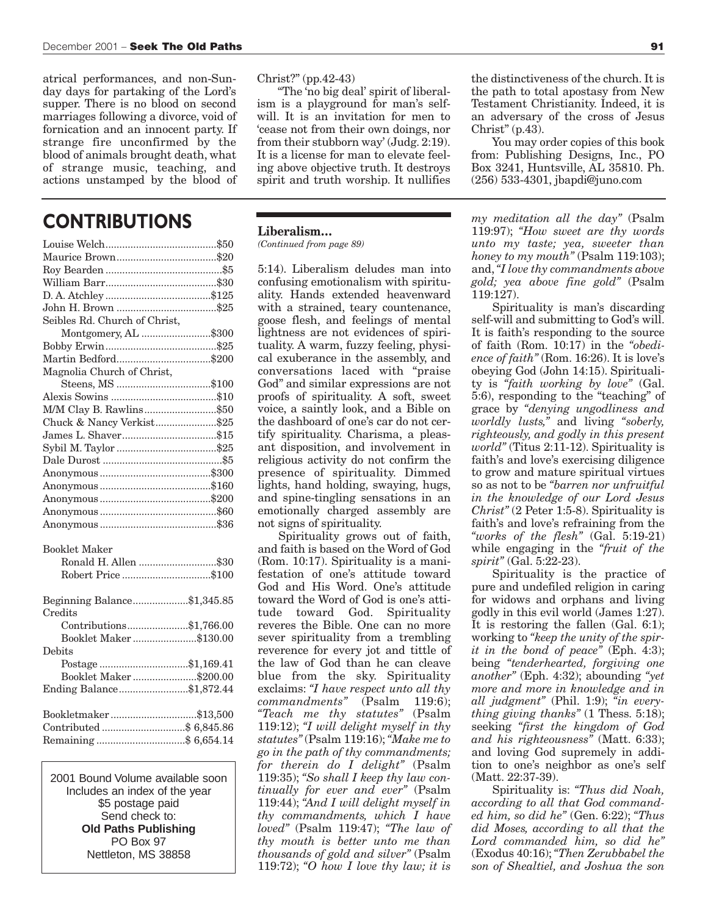atrical performances, and non-Sunday days for partaking of the Lord's supper. There is no blood on second marriages following a divorce, void of fornication and an innocent party. If strange fire unconfirmed by the blood of animals brought death, what of strange music, teaching, and actions unstamped by the blood of

## **CONTRIBUTIONS**

| Seibles Rd. Church of Christ, |  |
|-------------------------------|--|
| Montgomery, AL \$300          |  |
|                               |  |
|                               |  |
| Magnolia Church of Christ,    |  |
| Steens, MS \$100              |  |
|                               |  |
| M/M Clay B. Rawlins\$50       |  |
| Chuck & Nancy Verkist\$25     |  |
|                               |  |
|                               |  |
|                               |  |
|                               |  |
|                               |  |
|                               |  |
|                               |  |
|                               |  |
|                               |  |
| <b>Booklet Maker</b>          |  |
| Ronald H. Allen \$30          |  |
| Robert Price\$100             |  |
|                               |  |
| Beginning Balance\$1,345.85   |  |
| Credits                       |  |
| Contributions\$1,766.00       |  |
| Booklet Maker\$130.00         |  |
| Debits                        |  |
| Postage\$1,169.41             |  |
| Booklet Maker\$200.00         |  |
| Ending Balance\$1,872.44      |  |
|                               |  |
| Bookletmaker\$13,500          |  |
| Contributed \$ 6,845.86       |  |
|                               |  |
|                               |  |

2001 Bound Volume available soon Includes an index of the year \$5 postage paid Send check to: **Old Paths Publishing** PO Box 97 Nettleton, MS 38858

Christ?" (pp.42-43)

"The 'no big deal' spirit of liberalism is a playground for man's selfwill. It is an invitation for men to 'cease not from their own doings, nor from their stubborn way' (Judg. 2:19). It is a license for man to elevate feeling above objective truth. It destroys spirit and truth worship. It nullifies

## **Liberalism…**

*(Continued from page 89)*

5:14). Liberalism deludes man into confusing emotionalism with spirituality. Hands extended heavenward with a strained, teary countenance, goose flesh, and feelings of mental lightness are not evidences of spirituality. A warm, fuzzy feeling, physical exuberance in the assembly, and conversations laced with "praise God" and similar expressions are not proofs of spirituality. A soft, sweet voice, a saintly look, and a Bible on the dashboard of one's car do not certify spirituality. Charisma, a pleasant disposition, and involvement in religious activity do not confirm the presence of spirituality. Dimmed lights, hand holding, swaying, hugs, and spine-tingling sensations in an emotionally charged assembly are not signs of spirituality.

Spirituality grows out of faith, and faith is based on the Word of God (Rom. 10:17). Spirituality is a manifestation of one's attitude toward God and His Word. One's attitude toward the Word of God is one's attitude toward God. Spirituality reveres the Bible. One can no more sever spirituality from a trembling reverence for every jot and tittle of the law of God than he can cleave blue from the sky. Spirituality exclaims: *"I have respect unto all thy commandments"* (Psalm 119:6); *"Teach me thy statutes"* (Psalm 119:12); *"I will delight myself in thy statutes"*(Psalm 119:16);*"Make me to go in the path of thy commandments; for therein do I delight"* (Psalm 119:35); *"So shall I keep thy law continually for ever and ever"* (Psalm 119:44); *"And I will delight myself in thy commandments, which I have loved"* (Psalm 119:47); *"The law of thy mouth is better unto me than thousands of gold and silver"* (Psalm 119:72); *"O how I love thy law; it is*

the distinctiveness of the church. It is the path to total apostasy from New Testament Christianity. Indeed, it is an adversary of the cross of Jesus Christ" (p.43).

You may order copies of this book from: Publishing Designs, Inc., PO Box 3241, Huntsville, AL 35810. Ph. (256) 533-4301, jbapdi@juno.com

*my meditation all the day"* (Psalm 119:97); *"How sweet are thy words unto my taste; yea, sweeter than honey to my mouth"* (Psalm 119:103); and,*"I love thy commandments above gold; yea above fine gold"* (Psalm 119:127).

Spirituality is man's discarding self-will and submitting to God's will. It is faith's responding to the source of faith (Rom. 10:17) in the *"obedience of faith"* (Rom. 16:26). It is love's obeying God (John 14:15). Spirituality is *"faith working by love"* (Gal. 5:6), responding to the "teaching" of grace by *"denying ungodliness and worldly lusts,"* and living *"soberly, righteously, and godly in this present world"* (Titus 2:11-12). Spirituality is faith's and love's exercising diligence to grow and mature spiritual virtues so as not to be *"barren nor unfruitful in the knowledge of our Lord Jesus Christ"* (2 Peter 1:5-8). Spirituality is faith's and love's refraining from the *"works of the flesh"* (Gal. 5:19-21) while engaging in the *"fruit of the spirit"* (Gal. 5:22-23).

Spirituality is the practice of pure and undefiled religion in caring for widows and orphans and living godly in this evil world (James 1:27). It is restoring the fallen (Gal. 6:1); working to *"keep the unity of the spirit in the bond of peace"* (Eph. 4:3); being *"tenderhearted, forgiving one another"* (Eph. 4:32); abounding *"yet more and more in knowledge and in all judgment"* (Phil. 1:9); *"in everything giving thanks"* (1 Thess. 5:18); seeking *"first the kingdom of God and his righteousness"* (Matt. 6:33); and loving God supremely in addition to one's neighbor as one's self (Matt. 22:37-39).

Spirituality is: *"Thus did Noah, according to all that God commanded him, so did he"* (Gen. 6:22); *"Thus did Moses, according to all that the Lord commanded him, so did he"* (Exodus 40:16);*"Then Zerubbabel the son of Shealtiel, and Joshua the son*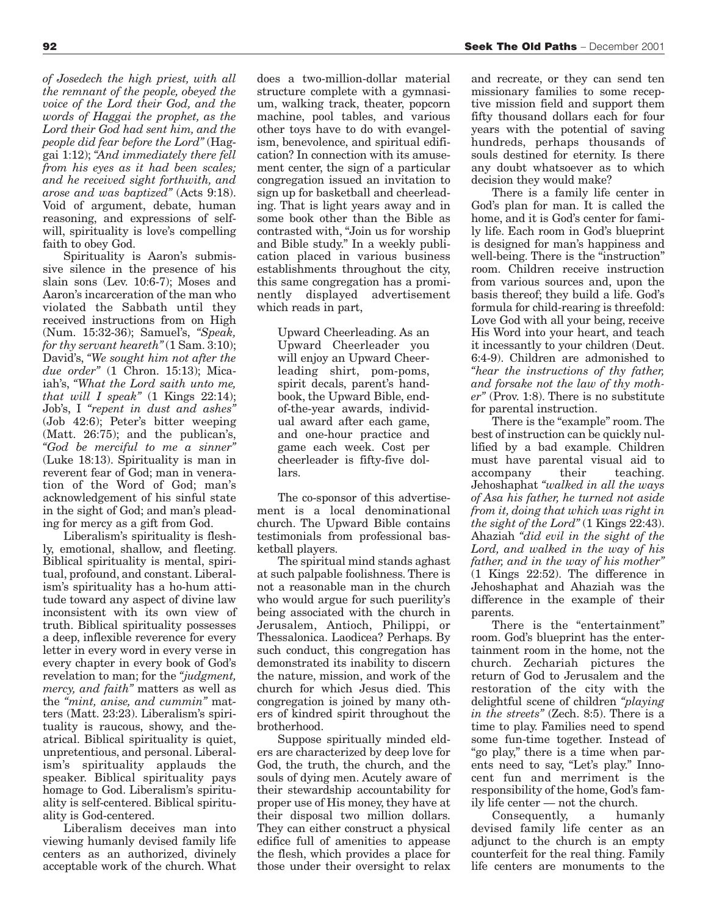*of Josedech the high priest, with all the remnant of the people, obeyed the voice of the Lord their God, and the words of Haggai the prophet, as the Lord their God had sent him, and the people did fear before the Lord"* (Haggai 1:12); *"And immediately there fell from his eyes as it had been scales; and he received sight forthwith, and arose and was baptized"* (Acts 9:18). Void of argument, debate, human reasoning, and expressions of selfwill, spirituality is love's compelling faith to obey God.

Spirituality is Aaron's submissive silence in the presence of his slain sons (Lev. 10:6-7); Moses and Aaron's incarceration of the man who violated the Sabbath until they received instructions from on High (Num. 15:32-36); Samuel's, *"Speak, for thy servant heareth"*(1 Sam. 3:10); David's, *"We sought him not after the due order"* (1 Chron. 15:13); Micaiah's, *"What the Lord saith unto me, that will I speak"* (1 Kings 22:14); Job's, I *"repent in dust and ashes"* (Job 42:6); Peter's bitter weeping (Matt. 26:75); and the publican's, *"God be merciful to me a sinner"* (Luke 18:13). Spirituality is man in reverent fear of God; man in veneration of the Word of God; man's acknowledgement of his sinful state in the sight of God; and man's pleading for mercy as a gift from God.

Liberalism's spirituality is fleshly, emotional, shallow, and fleeting. Biblical spirituality is mental, spiritual, profound, and constant. Liberalism's spirituality has a ho-hum attitude toward any aspect of divine law inconsistent with its own view of truth. Biblical spirituality possesses a deep, inflexible reverence for every letter in every word in every verse in every chapter in every book of God's revelation to man; for the *"judgment, mercy, and faith"* matters as well as the *"mint, anise, and cummin"* matters (Matt. 23:23). Liberalism's spirituality is raucous, showy, and theatrical. Biblical spirituality is quiet, unpretentious, and personal. Liberalism's spirituality applauds the speaker. Biblical spirituality pays homage to God. Liberalism's spirituality is self-centered. Biblical spirituality is God-centered.

Liberalism deceives man into viewing humanly devised family life centers as an authorized, divinely acceptable work of the church. What does a two-million-dollar material structure complete with a gymnasium, walking track, theater, popcorn machine, pool tables, and various other toys have to do with evangelism, benevolence, and spiritual edification? In connection with its amusement center, the sign of a particular congregation issued an invitation to sign up for basketball and cheerleading. That is light years away and in some book other than the Bible as contrasted with, "Join us for worship and Bible study." In a weekly publication placed in various business establishments throughout the city, this same congregation has a prominently displayed advertisement which reads in part,

Upward Cheerleading. As an Upward Cheerleader you will enjoy an Upward Cheerleading shirt, pom-poms, spirit decals, parent's handbook, the Upward Bible, endof-the-year awards, individual award after each game, and one-hour practice and game each week. Cost per cheerleader is fifty-five dollars.

The co-sponsor of this advertisement is a local denominational church. The Upward Bible contains testimonials from professional basketball players.

The spiritual mind stands aghast at such palpable foolishness. There is not a reasonable man in the church who would argue for such puerility's being associated with the church in Jerusalem, Antioch, Philippi, or Thessalonica. Laodicea? Perhaps. By such conduct, this congregation has demonstrated its inability to discern the nature, mission, and work of the church for which Jesus died. This congregation is joined by many others of kindred spirit throughout the brotherhood.

Suppose spiritually minded elders are characterized by deep love for God, the truth, the church, and the souls of dying men. Acutely aware of their stewardship accountability for proper use of His money, they have at their disposal two million dollars. They can either construct a physical edifice full of amenities to appease the flesh, which provides a place for those under their oversight to relax

and recreate, or they can send ten missionary families to some receptive mission field and support them fifty thousand dollars each for four years with the potential of saving hundreds, perhaps thousands of souls destined for eternity. Is there any doubt whatsoever as to which decision they would make?

There is a family life center in God's plan for man. It is called the home, and it is God's center for family life. Each room in God's blueprint is designed for man's happiness and well-being. There is the "instruction" room. Children receive instruction from various sources and, upon the basis thereof; they build a life. God's formula for child-rearing is threefold: Love God with all your being, receive His Word into your heart, and teach it incessantly to your children (Deut. 6:4-9). Children are admonished to *"hear the instructions of thy father, and forsake not the law of thy mother"* (Prov. 1:8). There is no substitute for parental instruction.

There is the "example" room. The best of instruction can be quickly nullified by a bad example. Children must have parental visual aid to accompany their teaching. Jehoshaphat *"walked in all the ways of Asa his father, he turned not aside from it, doing that which was right in the sight of the Lord"* (1 Kings 22:43). Ahaziah *"did evil in the sight of the Lord, and walked in the way of his father, and in the way of his mother"* (1 Kings 22:52). The difference in Jehoshaphat and Ahaziah was the difference in the example of their parents.

There is the "entertainment" room. God's blueprint has the entertainment room in the home, not the church. Zechariah pictures the return of God to Jerusalem and the restoration of the city with the delightful scene of children *"playing in the streets"* (Zech. 8:5). There is a time to play. Families need to spend some fun-time together. Instead of "go play," there is a time when parents need to say, "Let's play." Innocent fun and merriment is the responsibility of the home, God's family life center — not the church.

Consequently, a humanly devised family life center as an adjunct to the church is an empty counterfeit for the real thing. Family life centers are monuments to the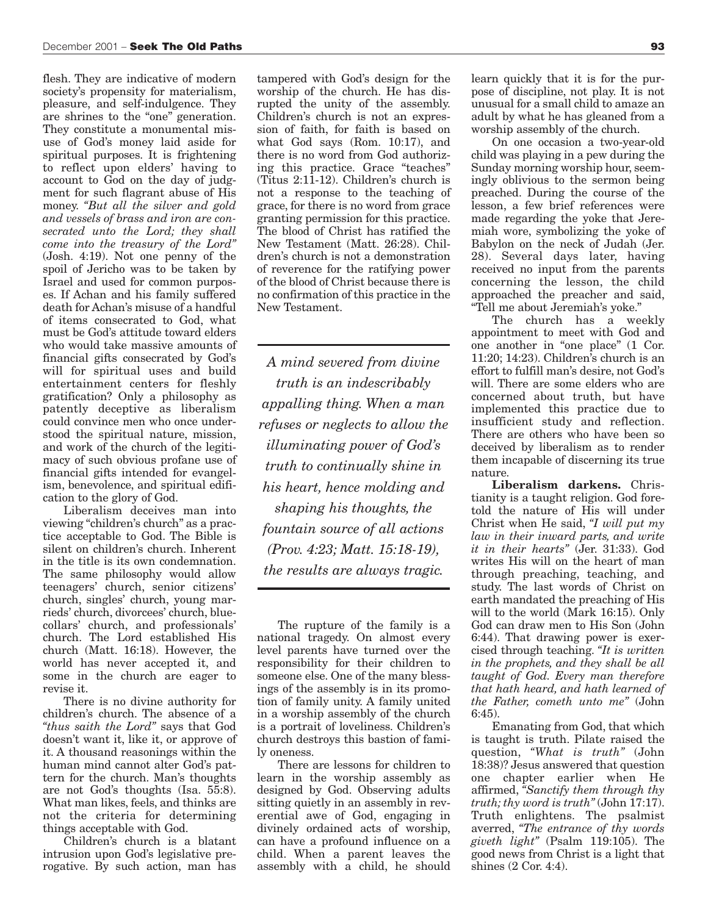flesh. They are indicative of modern society's propensity for materialism, pleasure, and self-indulgence. They are shrines to the "one" generation. They constitute a monumental misuse of God's money laid aside for spiritual purposes. It is frightening to reflect upon elders' having to account to God on the day of judgment for such flagrant abuse of His money. *"But all the silver and gold and vessels of brass and iron are consecrated unto the Lord; they shall come into the treasury of the Lord"* (Josh. 4:19). Not one penny of the spoil of Jericho was to be taken by Israel and used for common purposes. If Achan and his family suffered death for Achan's misuse of a handful of items consecrated to God, what must be God's attitude toward elders who would take massive amounts of financial gifts consecrated by God's will for spiritual uses and build entertainment centers for fleshly gratification? Only a philosophy as patently deceptive as liberalism could convince men who once understood the spiritual nature, mission, and work of the church of the legitimacy of such obvious profane use of financial gifts intended for evangelism, benevolence, and spiritual edification to the glory of God.

Liberalism deceives man into viewing "children's church" as a practice acceptable to God. The Bible is silent on children's church. Inherent in the title is its own condemnation. The same philosophy would allow teenagers' church, senior citizens' church, singles' church, young marrieds' church, divorcees' church, bluecollars' church, and professionals' church. The Lord established His church (Matt. 16:18). However, the world has never accepted it, and some in the church are eager to revise it.

There is no divine authority for children's church. The absence of a *"thus saith the Lord"* says that God doesn't want it, like it, or approve of it. A thousand reasonings within the human mind cannot alter God's pattern for the church. Man's thoughts are not God's thoughts (Isa. 55:8). What man likes, feels, and thinks are not the criteria for determining things acceptable with God.

Children's church is a blatant intrusion upon God's legislative prerogative. By such action, man has

tampered with God's design for the worship of the church. He has disrupted the unity of the assembly. Children's church is not an expression of faith, for faith is based on what God says (Rom. 10:17), and there is no word from God authorizing this practice. Grace "teaches" (Titus 2:11-12). Children's church is not a response to the teaching of grace, for there is no word from grace granting permission for this practice. The blood of Christ has ratified the New Testament (Matt. 26:28). Children's church is not a demonstration of reverence for the ratifying power of the blood of Christ because there is no confirmation of this practice in the New Testament.

*A mind severed from divine truth is an indescribably appalling thing. When a man refuses or neglects to allow the illuminating power of God's truth to continually shine in his heart, hence molding and shaping his thoughts, the fountain source of all actions (Prov. 4:23; Matt. 15:18-19), the results are always tragic.*

The rupture of the family is a national tragedy. On almost every level parents have turned over the responsibility for their children to someone else. One of the many blessings of the assembly is in its promotion of family unity. A family united in a worship assembly of the church is a portrait of loveliness. Children's church destroys this bastion of family oneness.

There are lessons for children to learn in the worship assembly as designed by God. Observing adults sitting quietly in an assembly in reverential awe of God, engaging in divinely ordained acts of worship, can have a profound influence on a child. When a parent leaves the assembly with a child, he should

learn quickly that it is for the purpose of discipline, not play. It is not unusual for a small child to amaze an adult by what he has gleaned from a worship assembly of the church.

On one occasion a two-year-old child was playing in a pew during the Sunday morning worship hour, seemingly oblivious to the sermon being preached. During the course of the lesson, a few brief references were made regarding the yoke that Jeremiah wore, symbolizing the yoke of Babylon on the neck of Judah (Jer. 28). Several days later, having received no input from the parents concerning the lesson, the child approached the preacher and said, "Tell me about Jeremiah's yoke."

The church has a weekly appointment to meet with God and one another in "one place" (1 Cor. 11:20; 14:23). Children's church is an effort to fulfill man's desire, not God's will. There are some elders who are concerned about truth, but have implemented this practice due to insufficient study and reflection. There are others who have been so deceived by liberalism as to render them incapable of discerning its true nature.

**Liberalism darkens.** Christianity is a taught religion. God foretold the nature of His will under Christ when He said, *"I will put my law in their inward parts, and write it in their hearts"* (Jer. 31:33). God writes His will on the heart of man through preaching, teaching, and study. The last words of Christ on earth mandated the preaching of His will to the world (Mark 16:15). Only God can draw men to His Son (John 6:44). That drawing power is exercised through teaching. *"It is written in the prophets, and they shall be all taught of God. Every man therefore that hath heard, and hath learned of the Father, cometh unto me"* (John 6:45).

Emanating from God, that which is taught is truth. Pilate raised the question, *"What is truth"* (John 18:38)? Jesus answered that question one chapter earlier when He affirmed, *"Sanctify them through thy truth; thy word is truth"* (John 17:17). Truth enlightens. The psalmist averred, *"The entrance of thy words giveth light"* (Psalm 119:105). The good news from Christ is a light that shines (2 Cor. 4:4).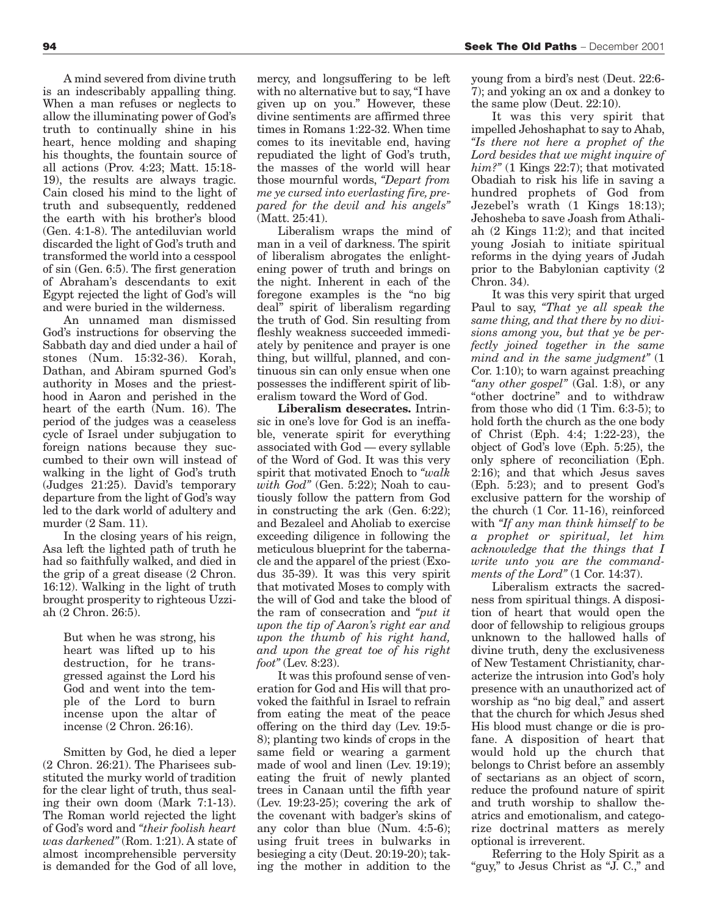A mind severed from divine truth is an indescribably appalling thing. When a man refuses or neglects to allow the illuminating power of God's truth to continually shine in his heart, hence molding and shaping his thoughts, the fountain source of all actions (Prov. 4:23; Matt. 15:18- 19), the results are always tragic. Cain closed his mind to the light of truth and subsequently, reddened the earth with his brother's blood (Gen. 4:1-8). The antediluvian world discarded the light of God's truth and transformed the world into a cesspool of sin (Gen. 6:5). The first generation of Abraham's descendants to exit Egypt rejected the light of God's will and were buried in the wilderness.

An unnamed man dismissed God's instructions for observing the Sabbath day and died under a hail of stones (Num. 15:32-36). Korah, Dathan, and Abiram spurned God's authority in Moses and the priesthood in Aaron and perished in the heart of the earth (Num. 16). The period of the judges was a ceaseless cycle of Israel under subjugation to foreign nations because they succumbed to their own will instead of walking in the light of God's truth (Judges 21:25). David's temporary departure from the light of God's way led to the dark world of adultery and murder (2 Sam. 11).

In the closing years of his reign, Asa left the lighted path of truth he had so faithfully walked, and died in the grip of a great disease (2 Chron. 16:12). Walking in the light of truth brought prosperity to righteous Uzziah (2 Chron. 26:5).

> But when he was strong, his heart was lifted up to his destruction, for he transgressed against the Lord his God and went into the temple of the Lord to burn incense upon the altar of incense (2 Chron. 26:16).

Smitten by God, he died a leper (2 Chron. 26:21). The Pharisees substituted the murky world of tradition for the clear light of truth, thus sealing their own doom (Mark 7:1-13). The Roman world rejected the light of God's word and *"their foolish heart was darkened"* (Rom. 1:21). A state of almost incomprehensible perversity is demanded for the God of all love,

mercy, and longsuffering to be left with no alternative but to say, "I have given up on you." However, these divine sentiments are affirmed three times in Romans 1:22-32. When time comes to its inevitable end, having repudiated the light of God's truth, the masses of the world will hear those mournful words, *"Depart from me ye cursed into everlasting fire, prepared for the devil and his angels"* (Matt. 25:41).

Liberalism wraps the mind of man in a veil of darkness. The spirit of liberalism abrogates the enlightening power of truth and brings on the night. Inherent in each of the foregone examples is the "no big deal" spirit of liberalism regarding the truth of God. Sin resulting from fleshly weakness succeeded immediately by penitence and prayer is one thing, but willful, planned, and continuous sin can only ensue when one possesses the indifferent spirit of liberalism toward the Word of God.

**Liberalism desecrates.** Intrinsic in one's love for God is an ineffable, venerate spirit for everything associated with God — every syllable of the Word of God. It was this very spirit that motivated Enoch to *"walk with God"* (Gen. 5:22); Noah to cautiously follow the pattern from God in constructing the ark (Gen. 6:22); and Bezaleel and Aholiab to exercise exceeding diligence in following the meticulous blueprint for the tabernacle and the apparel of the priest (Exodus 35-39). It was this very spirit that motivated Moses to comply with the will of God and take the blood of the ram of consecration and *"put it upon the tip of Aaron's right ear and upon the thumb of his right hand, and upon the great toe of his right foot"* (Lev. 8:23).

It was this profound sense of veneration for God and His will that provoked the faithful in Israel to refrain from eating the meat of the peace offering on the third day (Lev. 19:5- 8); planting two kinds of crops in the same field or wearing a garment made of wool and linen (Lev. 19:19); eating the fruit of newly planted trees in Canaan until the fifth year (Lev. 19:23-25); covering the ark of the covenant with badger's skins of any color than blue (Num. 4:5-6); using fruit trees in bulwarks in besieging a city (Deut. 20:19-20); taking the mother in addition to the

young from a bird's nest (Deut. 22:6- 7); and yoking an ox and a donkey to the same plow (Deut. 22:10).

It was this very spirit that impelled Jehoshaphat to say to Ahab, *"Is there not here a prophet of the Lord besides that we might inquire of him?"* (1 Kings 22:7); that motivated Obadiah to risk his life in saving a hundred prophets of God from Jezebel's wrath (1 Kings 18:13); Jehosheba to save Joash from Athaliah (2 Kings 11:2); and that incited young Josiah to initiate spiritual reforms in the dying years of Judah prior to the Babylonian captivity (2 Chron. 34).

It was this very spirit that urged Paul to say, *"That ye all speak the same thing, and that there by no divisions among you, but that ye be perfectly joined together in the same mind and in the same judgment"* (1 Cor. 1:10); to warn against preaching *"any other gospel"* (Gal. 1:8), or any "other doctrine" and to withdraw from those who did (1 Tim. 6:3-5); to hold forth the church as the one body of Christ (Eph. 4:4; 1:22-23), the object of God's love (Eph. 5:25), the only sphere of reconciliation (Eph. 2:16); and that which Jesus saves (Eph. 5:23); and to present God's exclusive pattern for the worship of the church (1 Cor. 11-16), reinforced with *"If any man think himself to be a prophet or spiritual, let him acknowledge that the things that I write unto you are the commandments of the Lord"* (1 Cor. 14:37).

Liberalism extracts the sacredness from spiritual things. A disposition of heart that would open the door of fellowship to religious groups unknown to the hallowed halls of divine truth, deny the exclusiveness of New Testament Christianity, characterize the intrusion into God's holy presence with an unauthorized act of worship as "no big deal," and assert that the church for which Jesus shed His blood must change or die is profane. A disposition of heart that would hold up the church that belongs to Christ before an assembly of sectarians as an object of scorn, reduce the profound nature of spirit and truth worship to shallow theatrics and emotionalism, and categorize doctrinal matters as merely optional is irreverent.

Referring to the Holy Spirit as a "guy," to Jesus Christ as "J. C.," and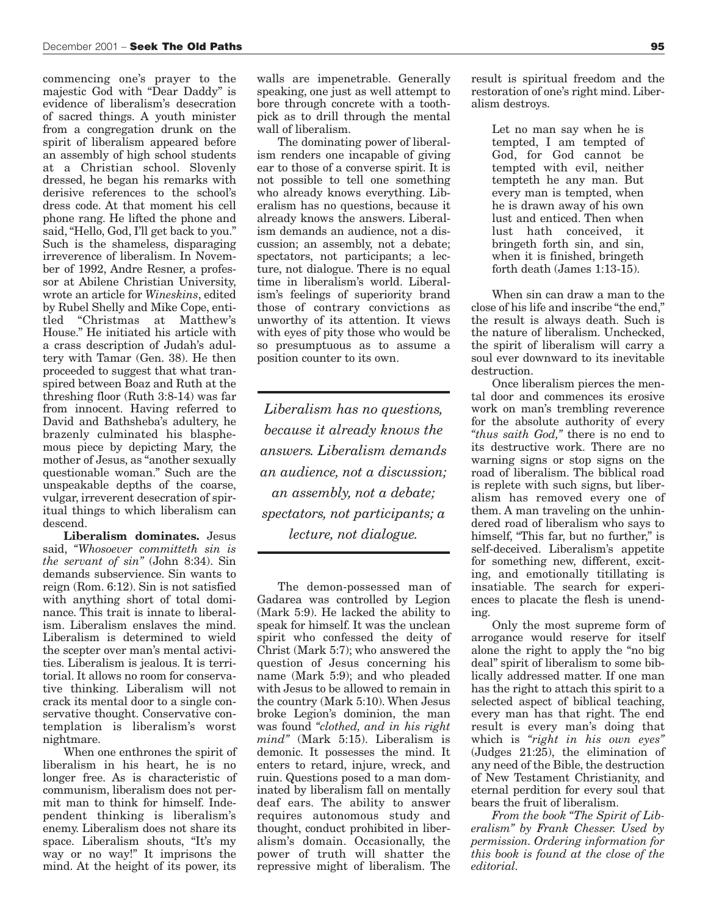commencing one's prayer to the majestic God with "Dear Daddy" is evidence of liberalism's desecration of sacred things. A youth minister from a congregation drunk on the spirit of liberalism appeared before an assembly of high school students at a Christian school. Slovenly dressed, he began his remarks with derisive references to the school's dress code. At that moment his cell phone rang. He lifted the phone and said, "Hello, God, I'll get back to you." Such is the shameless, disparaging irreverence of liberalism. In November of 1992, Andre Resner, a professor at Abilene Christian University, wrote an article for *Wineskins*, edited by Rubel Shelly and Mike Cope, entitled "Christmas at Matthew's House." He initiated his article with a crass description of Judah's adultery with Tamar (Gen. 38). He then proceeded to suggest that what transpired between Boaz and Ruth at the threshing floor (Ruth 3:8-14) was far from innocent. Having referred to David and Bathsheba's adultery, he brazenly culminated his blasphemous piece by depicting Mary, the mother of Jesus, as "another sexually questionable woman." Such are the unspeakable depths of the coarse, vulgar, irreverent desecration of spiritual things to which liberalism can descend.

**Liberalism dominates.** Jesus said, *"Whosoever committeth sin is the servant of sin"* (John 8:34). Sin demands subservience. Sin wants to reign (Rom. 6:12). Sin is not satisfied with anything short of total dominance. This trait is innate to liberalism. Liberalism enslaves the mind. Liberalism is determined to wield the scepter over man's mental activities. Liberalism is jealous. It is territorial. It allows no room for conservative thinking. Liberalism will not crack its mental door to a single conservative thought. Conservative contemplation is liberalism's worst nightmare.

When one enthrones the spirit of liberalism in his heart, he is no longer free. As is characteristic of communism, liberalism does not permit man to think for himself. Independent thinking is liberalism's enemy. Liberalism does not share its space. Liberalism shouts, "It's my way or no way!" It imprisons the mind. At the height of its power, its

walls are impenetrable. Generally speaking, one just as well attempt to bore through concrete with a toothpick as to drill through the mental wall of liberalism.

The dominating power of liberalism renders one incapable of giving ear to those of a converse spirit. It is not possible to tell one something who already knows everything. Liberalism has no questions, because it already knows the answers. Liberalism demands an audience, not a discussion; an assembly, not a debate; spectators, not participants; a lecture, not dialogue. There is no equal time in liberalism's world. Liberalism's feelings of superiority brand those of contrary convictions as unworthy of its attention. It views with eyes of pity those who would be so presumptuous as to assume a position counter to its own.

*Liberalism has no questions, because it already knows the answers. Liberalism demands an audience, not a discussion; an assembly, not a debate; spectators, not participants; a lecture, not dialogue.*

The demon-possessed man of Gadarea was controlled by Legion (Mark 5:9). He lacked the ability to speak for himself. It was the unclean spirit who confessed the deity of Christ (Mark 5:7); who answered the question of Jesus concerning his name (Mark 5:9); and who pleaded with Jesus to be allowed to remain in the country (Mark 5:10). When Jesus broke Legion's dominion, the man was found *"clothed, and in his right mind"* (Mark 5:15). Liberalism is demonic. It possesses the mind. It enters to retard, injure, wreck, and ruin. Questions posed to a man dominated by liberalism fall on mentally deaf ears. The ability to answer requires autonomous study and thought, conduct prohibited in liberalism's domain. Occasionally, the power of truth will shatter the repressive might of liberalism. The

result is spiritual freedom and the restoration of one's right mind. Liberalism destroys.

> Let no man say when he is tempted, I am tempted of God, for God cannot be tempted with evil, neither tempteth he any man. But every man is tempted, when he is drawn away of his own lust and enticed. Then when lust hath conceived, it bringeth forth sin, and sin, when it is finished, bringeth forth death (James 1:13-15).

When sin can draw a man to the close of his life and inscribe "the end," the result is always death. Such is the nature of liberalism. Unchecked, the spirit of liberalism will carry a soul ever downward to its inevitable destruction.

Once liberalism pierces the mental door and commences its erosive work on man's trembling reverence for the absolute authority of every *"thus saith God,"* there is no end to its destructive work. There are no warning signs or stop signs on the road of liberalism. The biblical road is replete with such signs, but liberalism has removed every one of them. A man traveling on the unhindered road of liberalism who says to himself, "This far, but no further," is self-deceived. Liberalism's appetite for something new, different, exciting, and emotionally titillating is insatiable. The search for experiences to placate the flesh is unending.

Only the most supreme form of arrogance would reserve for itself alone the right to apply the "no big deal" spirit of liberalism to some biblically addressed matter. If one man has the right to attach this spirit to a selected aspect of biblical teaching, every man has that right. The end result is every man's doing that which is *"right in his own eyes"*  $(Judges 21:25)$ , the elimination of any need of the Bible, the destruction of New Testament Christianity, and eternal perdition for every soul that bears the fruit of liberalism.

*From the book "The Spirit of Liberalism" by Frank Chesser. Used by permission. Ordering information for this book is found at the close of the editorial.*